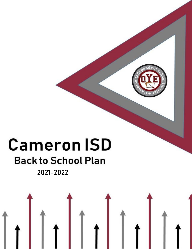# **Cameron ISD**

## **Back to School Plan**

**2021-2022**

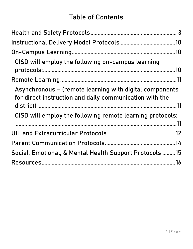### **Table of Contents**

| CISD will employ the following on-campus learning                                                                  |  |
|--------------------------------------------------------------------------------------------------------------------|--|
|                                                                                                                    |  |
|                                                                                                                    |  |
| Asynchronous - (remote learning with digital components<br>for direct instruction and daily communication with the |  |
| CISD will employ the following remote learning protocols:                                                          |  |
|                                                                                                                    |  |
|                                                                                                                    |  |
| Social, Emotional, & Mental Health Support Protocols 15                                                            |  |
|                                                                                                                    |  |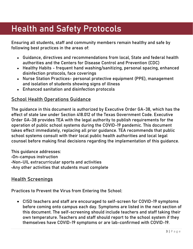### <span id="page-2-0"></span>Health and Safety Protocols

Ensuring all students, staff and community members remain healthy and safe by following best practices in the areas of:

- Guidance, directives and recommendations from local, State and federal health authorities and the Centers for Disease Control and Prevention (CDC)
- Healthy Habits frequent hand washing/sanitizing, personal spacing, enhanced disinfection protocols, face coverings
- Nurse Station Practices- personal protective equipment (PPE), management and isolation of students showing signs of illness
- Enhanced sanitation and disinfection protocols

### **School Health Operations Guidance**

The guidance in this document is authorized by Executive Order GA-38, which has the effect of state law under Section 418.012 of the Texas Government Code. Executive Order GA-38 provides TEA with the legal authority to publish requirements for the operation of public school systems during the COVID-19 pandemic. This document takes effect immediately, replacing all prior guidance. TEA recommends that public school systems consult with their local public health authorities and local legal counsel before making final decisions regarding the implementation of this guidance.

This guidance addresses: •On-campus instruction •Non-UIL extracurricular sports and activities •Any other activities that students must complete

### **Health Screenings**

Practices to Prevent the Virus from Entering the School:

 CISD teachers and staff are encouraged to self-screen for COVID-19 symptoms before coming onto campus each day. Symptoms are listed in the next section of this document. The self-screening should include teachers and staff taking their own temperature. Teachers and staff should report to the school system if they themselves have COVID-19 symptoms or are lab-confirmed with COVID-19.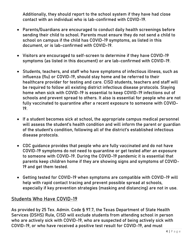Additionally, they should report to the school system if they have had close contact with an individual who is lab-confirmed with COVID-19.

- Parents/Guardians are encouraged to conduct daily health screenings before sending their child to school. Parents must ensure they do not send a child to school on campus if the child has COVID-19 symptoms, as listed in this document, or is lab-confirmed with COVID-19.
- Visitors are encouraged to self-screen to determine if they have COVID-19 symptoms (as listed in this document) or are lab-confirmed with COVID-19.
- Students, teachers, and staff who have symptoms of infectious illness, such as influenza (flu) or COVID-19, should stay home and be referred to their healthcare provider for testing and care. CISD students, teachers and staff will be required to follow all existing district infectious disease protocols. Staying home when sick with COVID-19 is essential to keep COVID-19 infections out of schools and prevent spread to others. It also is essential for people who are not fully vaccinated to quarantine after a recent exposure to someone with COVID-19.
- If a student becomes sick at school, the appropriate campus medical personnel will assess the student's health condition and will inform the parent or guardian of the student's condition, following all of the district's established infectious disease protocols.
- CDC guidance provides that people who are fully vaccinated and do not have COVID-19 symptoms do not need to quarantine or get tested after an exposure to someone with COVID-19. During the COVID-19 pandemic it is essential that parents keep children home if they are showing signs and symptoms of COVID-19 and get them tested.
- Getting tested for COVID-19 when symptoms are compatible with COVID-19 will help with rapid contact tracing and prevent possible spread at schools, especially if key prevention strategies (masking and distancing) are not in use.

### **Students Who Have COVID-19**

As provided by 25 Tex. Admin. Code § 97.7, the Texas Department of State Health Services (DSHS) Rule, CISD will exclude students from attending school in person who are actively sick with COVID-19, who are suspected of being actively sick with COVID-19, or who have received a positive test result for COVID-19, and must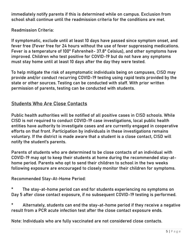immediately notify parents if this is determined while on campus. Exclusion from school shall continue until the readmission criteria for the conditions are met.

Readmission Criteria:

If symptomatic, exclude until at least 10 days have passed since symptom onset, and fever free (Fever free for 24 hours without the use of fever suppressing medications. Fever is a temperature of 100° Fahrenheit- 37.8° Celsius), and other symptoms have improved. Children who test positive for COVID-19 but do not have any symptoms must stay home until at least 10 days after the day they were tested.

To help mitigate the risk of asymptomatic individuals being on campuses, CISD may provide and/or conduct recurring COVID-19 testing using rapid tests provided by the state or other sources. Testing can be conducted with staff. With prior written permission of parents, testing can be conducted with students.

### **Students Who Are Close Contacts**

Public health authorities will be notified of all positive cases in CISD schools. While CISD is not required to conduct COVID-19 case investigations, local public health entities have authority to investigate cases and are currently engaged in cooperative efforts on that front. Participation by individuals in these investigations remains voluntary. If the district is made aware that a student is a close contact, CISD will notify the student's parents.

Parents of students who are determined to be close contacts of an individual with COVID-19 may opt to keep their students at home during the recommended stay-athome period. Parents who opt to send their children to school in the two weeks following exposure are encouraged to closely monitor their children for symptoms.

Recommended Stay-At-Home Period:

\* The stay-at-home period can end for students experiencing no symptoms on Day 5 after close contact exposure, if no subsequent COVID-19 testing is performed.

\* Alternately, students can end the stay-at-home period if they receive a negative result from a PCR acute infection test after the close contact exposure ends.

**Note: Individuals who are fully vaccinated are not considered close contacts.**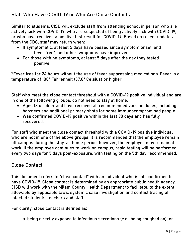### **Staff Who Have COVID-19 or Who Are Close Contacts**

Similar to students, CISD will exclude staff from attending school in person who are actively sick with COVID-19, who are suspected of being actively sick with COVID-19, or who have received a positive test result for COVID-19. Based on recent updates from the CDC, staff may return when:

- If symptomatic, at least 5 days have passed since symptom onset, and fever free\*, and other symptoms have improved.
- For those with no symptoms, at least 5 days after the day they tested positive.

\*Fever free for 24 hours without the use of fever suppressing medications. Fever is a temperature of 100° Fahrenheit (37.8° Celsius) or higher.

Staff who meet the close contact threshold with a COVID-19 positive individual and are in one of the following groups, do not need to stay at home.

- Ages 18 or older and have received all recommended vaccine doses, including boosters and additional primary shots for some immunocompromised people.
- Was confirmed COVID-19 positive within the last 90 days and has fully recovered.

For staff who meet the close contact threshold with a COVID-19 positive individual who are not in one of the above groups, it is recommended that the employee remain off campus during the stay-at-home period, however, the employee may remain at work. If the employee continues to work on campus, rapid testing will be performed every two days for 5 days post-exposure, with testing on the 5th day recommended.

### **Close Contact**

This document refers to "close contact" with an individual who is lab-confirmed to have COVID-19. Close contact is determined by an appropriate public health agency. CISD will work with the Milam County Health Department to facilitate, to the extent allowable by applicable laws, systemic case investigation and contact tracing of infected students, teachers and staff.

For clarity, close contact is defined as:

a. being directly exposed to infectious secretions (e.g., being coughed on); or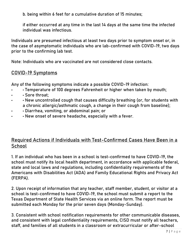b. being within 6 feet for a cumulative duration of 15 minutes;

if either occurred at any time in the last 14 days at the same time the infected individual was infectious.

Individuals are presumed infectious at least two days prior to symptom onset or, in the case of asymptomatic individuals who are lab-confirmed with COVID-19, two days prior to the confirming lab test.

**Note: Individuals who are vaccinated are not considered close contacts.**

#### **COVID-19 Symptoms**

Any of the following symptoms indicate a possible COVID-19 infection:

- • Temperature of 100 degrees Fahrenheit or higher when taken by mouth;
- • Sore throat;
- • New uncontrolled cough that causes difficulty breathing (or, for students with a chronic allergic/asthmatic cough, a change in their cough from baseline);
- • Diarrhea, vomiting, or abdominal pain; or
- • New onset of severe headache, especially with a fever.

### **Required Actions if Individuals with Test-Confirmed Cases Have Been in a School**

1. If an individual who has been in a school is test-confirmed to have COVID-19, the school must notify its local health department, in accordance with applicable federal, state and local laws and regulations, including confidentiality requirements of the Americans with Disabilities Act (ADA) and Family Educational Rights and Privacy Act (FERPA).

2. Upon receipt of information that any teacher, staff member, student, or visitor at a school is test-confirmed to have COVID-19, the school must submit a report to the Texas Department of State Health Services via an online form. The report must be submitted each Monday for the prior seven days (Monday-Sunday).

3. Consistent with school notification requirements for other communicable diseases, and consistent with legal confidentiality requirements, CISD must notify all teachers, staff, and families of all students in a classroom or extracurricular or after-school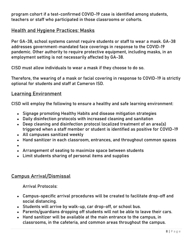program cohort if a test-confirmed COVID-19 case is identified among students, teachers or staff who participated in those classrooms or cohorts.

### **Health and Hygiene Practices: Masks**

Per GA-38, school systems cannot require students or staff to wear a mask. GA-38 addresses government-mandated face coverings in response to the COVID-19 pandemic. Other authority to require protective equipment, including masks, in an employment setting is not necessarily affected by GA-38.

CISD must allow individuals to wear a mask if they choose to do so.

Therefore, the wearing of a mask or facial covering in response to COVID-19 is strictly optional for students and staff at Cameron ISD.

#### **Learning Environment**

CISD will employ the following to ensure a healthy and safe learning environment:

- Signage promoting Healthy Habits and disease mitigation strategies
- Daily disinfection protocols with increased cleaning and sanitation
- Deep cleaning and disinfection protocol localized treatment of an area(s) triggered when a staff member or student is identified as positive for COVID-19
- All campuses sanitized weekly
- Hand sanitizer in each classroom, entrances, and throughout common spaces
- ●
- Arrangement of seating to maximize space between students
- Limit students sharing of personal items and supplies

#### **Campus Arrival/Dismissal**

Arrival Protocols:

- Campus-specific arrival procedures will be created to facilitate drop-off and social distancing.
- Students will arrive by walk-up, car drop-off, or school bus.
- Parents/guardians dropping off students will not be able to leave their cars.
- Hand sanitizer will be available at the main entrance to the campus, in classrooms, in the cafeteria, and common areas throughout the campus.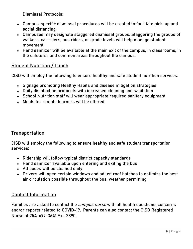Dismissal Protocols:

- Campus-specific dismissal procedures will be created to facilitate pick-up and social distancing.
- Campuses may designate staggered dismissal groups. Staggering the groups of walkers, car riders, bus riders, or grade levels will help manage student movement.
- Hand sanitizer will be available at the main exit of the campus, in classrooms, in the cafeteria, and common areas throughout the campus.

### **Student Nutrition / Lunch**

CISD will employ the following to ensure healthy and safe student nutrition services:

- Signage promoting Healthy Habits and disease mitigation strategies
- Daily disinfection protocols with increased cleaning and sanitation
- School Nutrition staff will wear appropriate required sanitary equipment
- Meals for remote learners will be offered.

#### **Transportation**

CISD will employ the following to ensure healthy and safe student transportation services:

- Ridership will follow typical district capacity standards
- Hand sanitizer available upon entering and exiting the bus
- All buses will be cleaned daily
- Drivers will open certain windows and adjust roof hatches to optimize the best air circulation possible throughout the bus, weather permitting

### **Contact Information**

Families are asked to contact the **campus nurse** with all health questions, concerns and/or reports related to COVID-19. Parents can also contact the CISD Registered Nurse at 254-697-3641 Ext. 2890.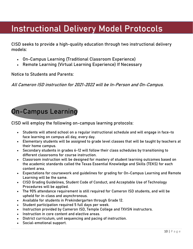### <span id="page-9-0"></span>Instructional Delivery Model Protocols

CISD seeks to provide a high-quality education through two instructional delivery models:

- On-Campus Learning (Traditional Classroom Experience)
- Remote Learning (Virtual Learning Experience) If Necessary

**Notice to Students and Parents:**

**All Cameron ISD instruction for 2021-2022 will be In-Person and On-Campus.** 

### <span id="page-9-1"></span>**On-Campus Learning**

<span id="page-9-2"></span>CISD will employ the following on-campus learning protocols:

- Students will attend school on a regular instructional schedule and will engage in face-to face learning on campus all day, every day.
- Elementary students will be assigned to grade level classes that will be taught by teachers at their home campus.
- Secondary students in grades 6-12 will follow their class schedules by transitioning to different classrooms for course instruction.
- Classroom instruction will be designed for mastery of student learning outcomes based on the academic standards called the Texas Essential Knowledge and Skills (TEKS) for each content area.
- Expectations for coursework and guidelines for grading for On-Campus Learning and Remote Learning will be the same.
- CISD Grading Guidelines, Student Code of Conduct, and Acceptable Use of Technology Procedures will be applied.
- The 90% attendance requirement is still required for Cameron ISD students, and will be upheld for in-class and asynchronous.
- Available for students in Prekindergarten through Grade 12.
- Student participation required 5 full days per week.
- Instruction provided by Cameron ISD, Temple College and TXVSN instructors.
- Instruction in core content and elective areas.
- District curriculum, unit sequencing and pacing of instruction.
- Social-emotional support.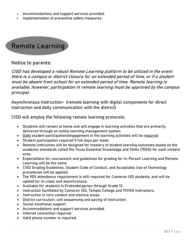- Accommodations and support services provided.
- Implementation of preventive safety measures.

### <span id="page-10-0"></span>**Remote Learning**

#### **Notice to parents:**

<span id="page-10-1"></span>**CISD has developed a robust Remote Learning platform to be utilized in the event there is a campus or district closure for an extended period of time, or if a student must be absent from school for an extended period of time. Remote learning is available, however, participation in remote learning must be approved by the campus principal.**

**Asynchronous Instruction**– (remote learning with digital components for direct instruction and daily communication with the district)

<span id="page-10-2"></span>CISD will employ the following remote learning protocols:

- Students will remain at home and will engage in learning activities that are primarily delivered through an online learning management system.
- Daily student participation/engagement in the learning activities will be required.
- **Student participation required 5 full days per week.**
- Remote instruction will be designed for mastery of student learning outcomes based on the academic standards called the Texas Essential Knowledge and Skills (TEKS) for each content area.
- Expectations for coursework and guidelines for grading for In-Person Learning and Remote Learning will be the same.
- CISD Grading Guidelines, Student Code of Conduct, and Acceptable Use of Technology procedures will be applied.
- The 90% attendance requirement is still required for Cameron ISD students, and will be upheld for in-class and asynchronous.
- Available for students in Prekindergarten through Grade 12.
- Instruction facilitated by Cameron ISD, Temple College and TXVSN instructors.
- Instruction in core content and elective areas.
- District curriculum, unit sequencing and pacing of instruction.
- Social-emotional support.
- Accommodations and support services provided.
- Internet connection required.
- Valid phone number is required.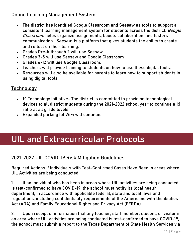### **Online Learning Management System**

- The district has identified Google Classroom and Seesaw as tools to support a consistent learning management system for students across the district. **Google Classroom** helps organize assignments, boosts collaboration, and fosters communication. **Seesaw** is a platform that gives students the ability to create and reflect on their learning.
- Grades Pre-k through 2 will use Seesaw.
- Grades 3-5 will use Seesaw and Google Classroom
- Grades 6-12 will use Google Classroom.
- Teachers will provide training to students on how to use these digital tools.
- Resources will also be available for parents to learn how to support students in using digital tools.

### **Technology**

- 1:1 Technology Initiative- The district is committed to providing technological devices to all district students during the 2021-2022 school year to continue a 1:1 ratio at all grade levels.
- Expanded parking lot WiFi will continue.

### <span id="page-11-0"></span>UIL and Extracurricular Protocols

### **2021-2022 UIL COVID-19 Risk Mitigation Guidelines**

**Required Actions if Individuals with Test-Confirmed Cases Have Been in areas where UIL Activities are being conducted**

1. If an individual who has been in areas where UIL activities are being conducted is test-confirmed to have COVID-19, the school must notify its local health department, in accordance with applicable federal, state and local laws and regulations, including confidentiality requirements of the Americans with Disabilities Act (ADA) and Family Educational Rights and Privacy Act (FERPA).

2. Upon receipt of information that any teacher, staff member, student, or visitor in an area where UIL activities are being conducted is test-confirmed to have COVID-19, the school must submit a report to the Texas Department of State Health Services via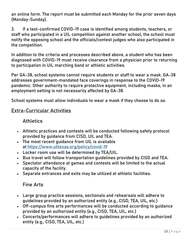an online form. The report must be submitted each Monday for the prior seven days (Monday-Sunday).

3. If a test-confirmed COVID-19 case is identified among students, teachers, or staff who participated in a UIL competition against another school, the school must notify the opposing school and the officials/contest judges who also participated in the competition.

In addition to the criteria and processes described above, a student who has been diagnosed with COVID-19 must receive clearance from a physician prior to returning to participation in UIL marching band or athletic activities.

Per GA-38, school systems cannot require students or staff to wear a mask. GA-38 addresses government-mandated face coverings in response to the COVID-19 pandemic. Other authority to require protective equipment, including masks, in an employment setting is not necessarily affected by GA-38.

School systems must allow individuals to wear a mask if they choose to do so.

#### **Extra-Curricular Activities**

### **Athletics**

- Athletic practices and contests will be conducted following safety protocol provided by guidance from CISD, UIL and TEA.
- The most recent guidance from UIL is available at <https://www.uiltexas.org/policy/covid-19>
- Locker room use will be determined by TEA/UIL.
- Bus travel will follow transportation guidelines provided by CISD and TEA.
- Spectator attendance at games and contests will be limited to the actual capacity of the facility.
- Separate entrances and exits may be utilized at athletic facilities.

### **Fine Arts**

- Large group practice sessions, sectionals and rehearsals will adhere to guidelines provided by an authorized entity (e.g., CISD, TEA, UIL, etc.)
- Off-campus fine arts performances will be conducted according to guidance provided by an authorized entity (e.g., CISD, TEA, UIL, etc.)
- Concerts/performances will adhere to guidelines provided by an authorized entity (e.g., CISD, TEA, UIL, etc.)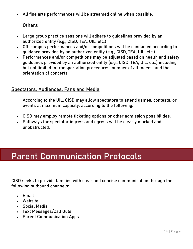All fine arts performances will be streamed online when possible.

**Others**

- Large group practice sessions will adhere to guidelines provided by an authorized entity (e.g., CISD, TEA, UIL, etc.)
- Off-campus performances and/or competitions will be conducted according to guidance provided by an authorized entity (e.g., CISD, TEA, UIL, etc.)
- Performances and/or competitions may be adjusted based on health and safety guidelines provided by an authorized entity (e.g., CISD, TEA, UIL, etc.) including but not limited to transportation procedures, number of attendees, and the orientation of concerts.

### **Spectators, Audiences, Fans and Media**

**According to the UIL, CISD may allow spectators to attend games, contests, or events at maximum capacity, according to the following:**

- CISD may employ remote ticketing options or other admission possibilities.
- Pathways for spectator ingress and egress will be clearly marked and unobstructed.

### <span id="page-13-0"></span>Parent Communication Protocols

CISD seeks to provide families with clear and concise communication through the following outbound channels:

- Email
- Website
- Social Media
- Text Messages/Call Outs
- Parent Communication Apps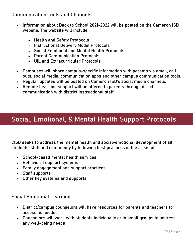### **Communication Tools and Channels**

- Information about Back to School 2021-2022 will be posted on the Cameron ISD website. The website will include:
	- Health and Safety Protocols
	- Instructional Delivery Model Protocols
	- Social Emotional and Mental Health Protocols
	- Parent Communication Protocols
	- UIL and Extracurricular Protocols
- Campuses will share campus-specific information with parents via email, call outs, social media, communication apps and other campus communication tools.
- Regular updates will be posted on Cameron ISD's social media channels.
- Remote Learning support will be offered to parents through direct communication with district instructional staff.

### <span id="page-14-0"></span>Social, Emotional, & Mental Health Support Protocols

CISD seeks to address the mental health and social-emotional development of all students, staff and community by following best practices in the areas of:

- School-based mental health services
- Behavioral support systems
- Family engagement and support practices
- Staff supports
- Other key systems and supports

### **Social Emotional Learning**

- District/campus counselors will have resources for parents and teachers to access as needed
- Counselors will work with students individually or in small groups to address any well-being needs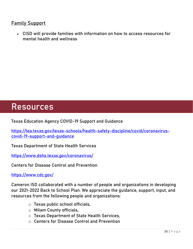### **Family Support**

 CISD will provide families with information on how to access resources for mental health and wellness

### <span id="page-15-0"></span>Resources

**Texas Education Agency COVID-19 Support and Guidance**

**[https://tea.texas.gov/texas-schools/health-safety-discipline/covid/coronavirus](https://tea.texas.gov/texas-schools/health-safety-discipline/covid/coronavirus-covid-19-support-and-guidance)[covid-19-support-and-guidance](https://tea.texas.gov/texas-schools/health-safety-discipline/covid/coronavirus-covid-19-support-and-guidance)**

**Texas Department of State Health Services**

**<https://www.dshs.texas.gov/coronavirus/>**

**Centers for Disease Control and Prevention**

**<https://www.cdc.gov/>**

Cameron ISD collaborated with a number of people and organizations in developing our 2021-2022 Back to School Plan. We appreciate the guidance, support, input, and resources from the following people and organizations:

- o Texas public school officials,
- o Milam County officials,
- o Texas Department of State Health Services,
- o Centers for Disease Control and Prevention